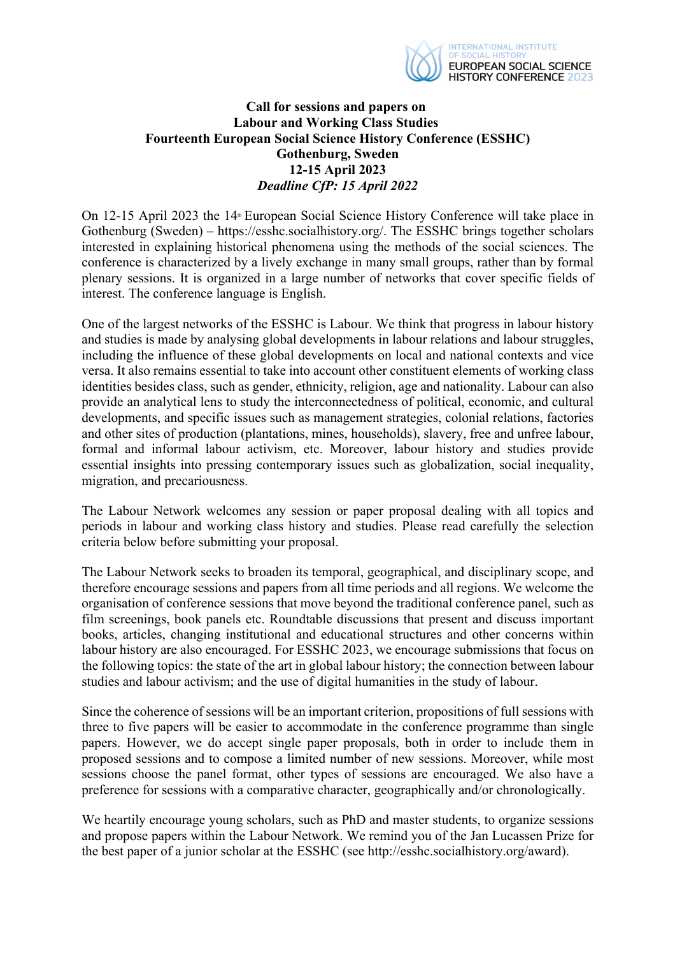

## **Call for sessions and papers on Labour and Working Class Studies Fourteenth European Social Science History Conference (ESSHC) Gothenburg, Sweden 12-15 April 2023**  *Deadline CfP: 15 April 2022*

On 12-15 April 2023 the 14<sup>th</sup> European Social Science History Conference will take place in Gothenburg (Sweden) – https://esshc.socialhistory.org/. The ESSHC brings together scholars interested in explaining historical phenomena using the methods of the social sciences. The conference is characterized by a lively exchange in many small groups, rather than by formal plenary sessions. It is organized in a large number of networks that cover specific fields of interest. The conference language is English.

One of the largest networks of the ESSHC is Labour. We think that progress in labour history and studies is made by analysing global developments in labour relations and labour struggles, including the influence of these global developments on local and national contexts and vice versa. It also remains essential to take into account other constituent elements of working class identities besides class, such as gender, ethnicity, religion, age and nationality. Labour can also provide an analytical lens to study the interconnectedness of political, economic, and cultural developments, and specific issues such as management strategies, colonial relations, factories and other sites of production (plantations, mines, households), slavery, free and unfree labour, formal and informal labour activism, etc. Moreover, labour history and studies provide essential insights into pressing contemporary issues such as globalization, social inequality, migration, and precariousness.

The Labour Network welcomes any session or paper proposal dealing with all topics and periods in labour and working class history and studies. Please read carefully the selection criteria below before submitting your proposal.

The Labour Network seeks to broaden its temporal, geographical, and disciplinary scope, and therefore encourage sessions and papers from all time periods and all regions. We welcome the organisation of conference sessions that move beyond the traditional conference panel, such as film screenings, book panels etc. Roundtable discussions that present and discuss important books, articles, changing institutional and educational structures and other concerns within labour history are also encouraged. For ESSHC 2023, we encourage submissions that focus on the following topics: the state of the art in global labour history; the connection between labour studies and labour activism; and the use of digital humanities in the study of labour.

Since the coherence of sessions will be an important criterion, propositions of full sessions with three to five papers will be easier to accommodate in the conference programme than single papers. However, we do accept single paper proposals, both in order to include them in proposed sessions and to compose a limited number of new sessions. Moreover, while most sessions choose the panel format, other types of sessions are encouraged. We also have a preference for sessions with a comparative character, geographically and/or chronologically. Î

We heartily encourage young scholars, such as PhD and master students, to organize sessions and propose papers within the Labour Network. We remind you of the Jan Lucassen Prize for the best paper of a junior scholar at the ESSHC (see http://esshc.socialhistory.org/award).